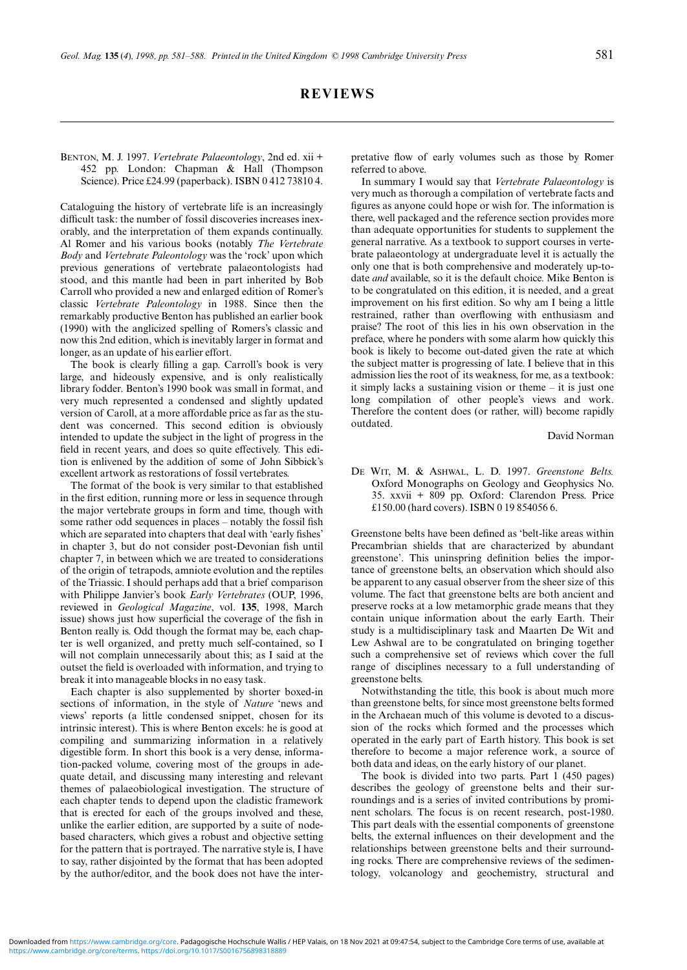# **REVIEWS**

### BENTON, M. J. 1997. *Vertebrate Palaeontology*, 2nd ed. xii + 452 pp. London: Chapman & Hall (Thompson Science). Price £24.99 (paperback). ISBN 0 412 73810 4.

Cataloguing the history of vertebrate life is an increasingly difficult task: the number of fossil discoveries increases inexorably, and the interpretation of them expands continually. Al Romer and his various books (notably *The Vertebrate Body* and *Vertebrate Paleontology* was the 'rock' upon which previous generations of vertebrate palaeontologists had stood, and this mantle had been in part inherited by Bob Carroll who provided a new and enlarged edition of Romer's classic *Vertebrate Paleontology* in 1988. Since then the remarkably productive Benton has published an earlier book (1990) with the anglicized spelling of Romers's classic and now this 2nd edition, which is inevitably larger in format and longer, as an update of his earlier effort.

The book is clearly filling a gap. Carroll's book is very large, and hideously expensive, and is only realistically library fodder. Benton's 1990 book was small in format, and very much represented a condensed and slightly updated version of Caroll, at a more affordable price as far as the student was concerned. This second edition is obviously intended to update the subject in the light of progress in the field in recent years, and does so quite effectively. This edition is enlivened by the addition of some of John Sibbick's excellent artwork as restorations of fossil vertebrates.

The format of the book is very similar to that established in the first edition, running more or less in sequence through the major vertebrate groups in form and time, though with some rather odd sequences in places – notably the fossil fish which are separated into chapters that deal with 'early fishes' in chapter 3, but do not consider post-Devonian fish until chapter 7, in between which we are treated to considerations of the origin of tetrapods, amniote evolution and the reptiles of the Triassic. I should perhaps add that a brief comparison with Philippe Janvier's book *Early Vertebrates* (OUP, 1996, reviewed in *Geological Magazine*, vol. **135**, 1998, March issue) shows just how superficial the coverage of the fish in Benton really is. Odd though the format may be, each chapter is well organized, and pretty much self-contained, so I will not complain unnecessarily about this; as I said at the outset the field is overloaded with information, and trying to break it into manageable blocks in no easy task.

Each chapter is also supplemented by shorter boxed-in sections of information, in the style of *Nature* 'news and views' reports (a little condensed snippet, chosen for its intrinsic interest). This is where Benton excels: he is good at compiling and summarizing information in a relatively digestible form. In short this book is a very dense, information-packed volume, covering most of the groups in adequate detail, and discussing many interesting and relevant themes of palaeobiological investigation. The structure of each chapter tends to depend upon the cladistic framework that is erected for each of the groups involved and these, unlike the earlier edition, are supported by a suite of nodebased characters, which gives a robust and objective setting for the pattern that is portrayed. The narrative style is, I have to say, rather disjointed by the format that has been adopted by the author/editor, and the book does not have the interpretative flow of early volumes such as those by Romer referred to above.

In summary I would say that *Vertebrate Palaeontology* is very much as thorough a compilation of vertebrate facts and figures as anyone could hope or wish for. The information is there, well packaged and the reference section provides more than adequate opportunities for students to supplement the general narrative. As a textbook to support courses in vertebrate palaeontology at undergraduate level it is actually the only one that is both comprehensive and moderately up-todate *and* available, so it is the default choice. Mike Benton is to be congratulated on this edition, it is needed, and a great improvement on his first edition. So why am I being a little restrained, rather than overflowing with enthusiasm and praise? The root of this lies in his own observation in the preface, where he ponders with some alarm how quickly this book is likely to become out-dated given the rate at which the subject matter is progressing of late. I believe that in this admission lies the root of its weakness, for me, as a textbook: it simply lacks a sustaining vision or theme – it is just one long compilation of other people's views and work. Therefore the content does (or rather, will) become rapidly outdated.

David Norman

DE WIT, M. & ASHWAL, L. D. 1997. *Greenstone Belts.* Oxford Monographs on Geology and Geophysics No. 35. xxvii + 809 pp. Oxford: Clarendon Press. Price £150.00 (hard covers). ISBN 0 19 854056 6.

Greenstone belts have been defined as 'belt-like areas within Precambrian shields that are characterized by abundant greenstone'. This uninspring definition belies the importance of greenstone belts, an observation which should also be apparent to any casual observer from the sheer size of this volume. The fact that greenstone belts are both ancient and preserve rocks at a low metamorphic grade means that they contain unique information about the early Earth. Their study is a multidisciplinary task and Maarten De Wit and Lew Ashwal are to be congratulated on bringing together such a comprehensive set of reviews which cover the full range of disciplines necessary to a full understanding of greenstone belts.

Notwithstanding the title, this book is about much more than greenstone belts, for since most greenstone belts formed in the Archaean much of this volume is devoted to a discussion of the rocks which formed and the processes which operated in the early part of Earth history. This book is set therefore to become a major reference work, a source of both data and ideas, on the early history of our planet.

The book is divided into two parts. Part 1 (450 pages) describes the geology of greenstone belts and their surroundings and is a series of invited contributions by prominent scholars. The focus is on recent research, post-1980. This part deals with the essential components of greenstone belts, the external influences on their development and the relationships between greenstone belts and their surrounding rocks. There are comprehensive reviews of the sedimentology, volcanology and geochemistry, structural and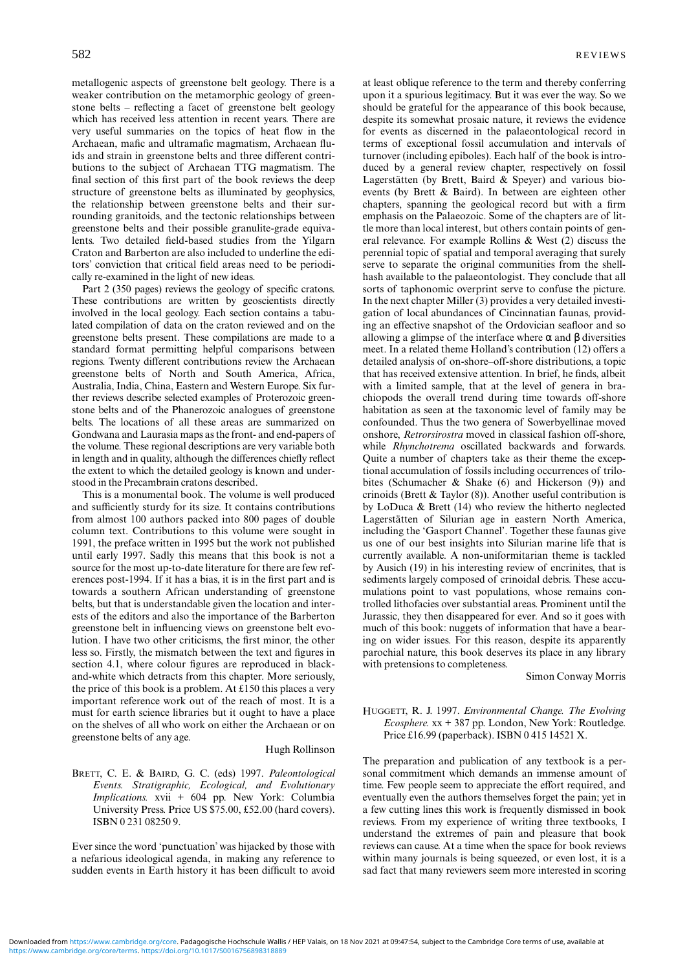metallogenic aspects of greenstone belt geology. There is a weaker contribution on the metamorphic geology of greenstone belts – reflecting a facet of greenstone belt geology which has received less attention in recent years. There are very useful summaries on the topics of heat flow in the Archaean, mafic and ultramafic magmatism, Archaean fluids and strain in greenstone belts and three different contributions to the subject of Archaean TTG magmatism. The final section of this first part of the book reviews the deep structure of greenstone belts as illuminated by geophysics, the relationship between greenstone belts and their surrounding granitoids, and the tectonic relationships between greenstone belts and their possible granulite-grade equivalents. Two detailed field-based studies from the Yilgarn Craton and Barberton are also included to underline the editors' conviction that critical field areas need to be periodically re-examined in the light of new ideas.

Part 2 (350 pages) reviews the geology of specific cratons. These contributions are written by geoscientists directly involved in the local geology. Each section contains a tabulated compilation of data on the craton reviewed and on the greenstone belts present. These compilations are made to a standard format permitting helpful comparisons between regions. Twenty different contributions review the Archaean greenstone belts of North and South America, Africa, Australia, India, China, Eastern and Western Europe. Six further reviews describe selected examples of Proterozoic greenstone belts and of the Phanerozoic analogues of greenstone belts. The locations of all these areas are summarized on Gondwana and Laurasia maps as the front- and end-papers of the volume. These regional descriptions are very variable both in length and in quality, although the differences chiefly reflect the extent to which the detailed geology is known and understood in the Precambrain cratons described.

This is a monumental book. The volume is well produced and sufficiently sturdy for its size. It contains contributions from almost 100 authors packed into 800 pages of double column text. Contributions to this volume were sought in 1991, the preface written in 1995 but the work not published until early 1997. Sadly this means that this book is not a source for the most up-to-date literature for there are few references post-1994. If it has a bias, it is in the first part and is towards a southern African understanding of greenstone belts, but that is understandable given the location and interests of the editors and also the importance of the Barberton greenstone belt in influencing views on greenstone belt evolution. I have two other criticisms, the first minor, the other less so. Firstly, the mismatch between the text and figures in section 4.1, where colour figures are reproduced in blackand-white which detracts from this chapter. More seriously, the price of this book is a problem. At £150 this places a very important reference work out of the reach of most. It is a must for earth science libraries but it ought to have a place on the shelves of all who work on either the Archaean or on greenstone belts of any age.

#### Hugh Rollinson

## BRETT, C. E. & BAIRD, G. C. (eds) 1997. *Paleontological Events. Stratigraphic, Ecological, and Evolutionary Implications.* xvii + 604 pp. New York: Columbia University Press. Price US \$75.00, £52.00 (hard covers). ISBN 0 231 08250 9.

Ever since the word 'punctuation' was hijacked by those with a nefarious ideological agenda, in making any reference to sudden events in Earth history it has been difficult to avoid

at least oblique reference to the term and thereby conferring upon it a spurious legitimacy. But it was ever the way. So we should be grateful for the appearance of this book because, despite its somewhat prosaic nature, it reviews the evidence for events as discerned in the palaeontological record in terms of exceptional fossil accumulation and intervals of turnover (including epiboles). Each half of the book is introduced by a general review chapter, respectively on fossil Lagerstätten (by Brett, Baird & Speyer) and various bioevents (by Brett & Baird). In between are eighteen other chapters, spanning the geological record but with a firm emphasis on the Palaeozoic. Some of the chapters are of little more than local interest, but others contain points of general relevance. For example Rollins & West (2) discuss the perennial topic of spatial and temporal averaging that surely serve to separate the original communities from the shellhash available to the palaeontologist. They conclude that all sorts of taphonomic overprint serve to confuse the picture. In the next chapter Miller (3) provides a very detailed investigation of local abundances of Cincinnatian faunas, providing an effective snapshot of the Ordovician seafloor and so allowing a glimpse of the interface where  $\alpha$  and  $\beta$  diversities meet. In a related theme Holland's contribution (12) offers a detailed analysis of on-shore–off-shore distributions, a topic that has received extensive attention. In brief, he finds, albeit with a limited sample, that at the level of genera in brachiopods the overall trend during time towards off-shore habitation as seen at the taxonomic level of family may be confounded. Thus the two genera of Sowerbyellinae moved onshore, *Retrorsirostra* moved in classical fashion off-shore, while *Rhynchotrema* oscillated backwards and forwards. Quite a number of chapters take as their theme the exceptional accumulation of fossils including occurrences of trilobites (Schumacher & Shake (6) and Hickerson (9)) and crinoids (Brett & Taylor (8)). Another useful contribution is by LoDuca & Brett (14) who review the hitherto neglected Lagerstätten of Silurian age in eastern North America, including the 'Gasport Channel'. Together these faunas give us one of our best insights into Silurian marine life that is currently available. A non-uniformitarian theme is tackled by Ausich (19) in his interesting review of encrinites, that is sediments largely composed of crinoidal debris. These accumulations point to vast populations, whose remains controlled lithofacies over substantial areas. Prominent until the Jurassic, they then disappeared for ever. And so it goes with much of this book: nuggets of information that have a bearing on wider issues. For this reason, despite its apparently parochial nature, this book deserves its place in any library with pretensions to completeness.

Simon Conway Morris

## HUGGETT, R. J. 1997. *Environmental Change. The Evolving Ecosphere.* xx + 387 pp. London, New York: Routledge. Price £16.99 (paperback). ISBN 0 415 14521 X.

The preparation and publication of any textbook is a personal commitment which demands an immense amount of time. Few people seem to appreciate the effort required, and eventually even the authors themselves forget the pain; yet in a few cutting lines this work is frequently dismissed in book reviews. From my experience of writing three textbooks, I understand the extremes of pain and pleasure that book reviews can cause. At a time when the space for book reviews within many journals is being squeezed, or even lost, it is a sad fact that many reviewers seem more interested in scoring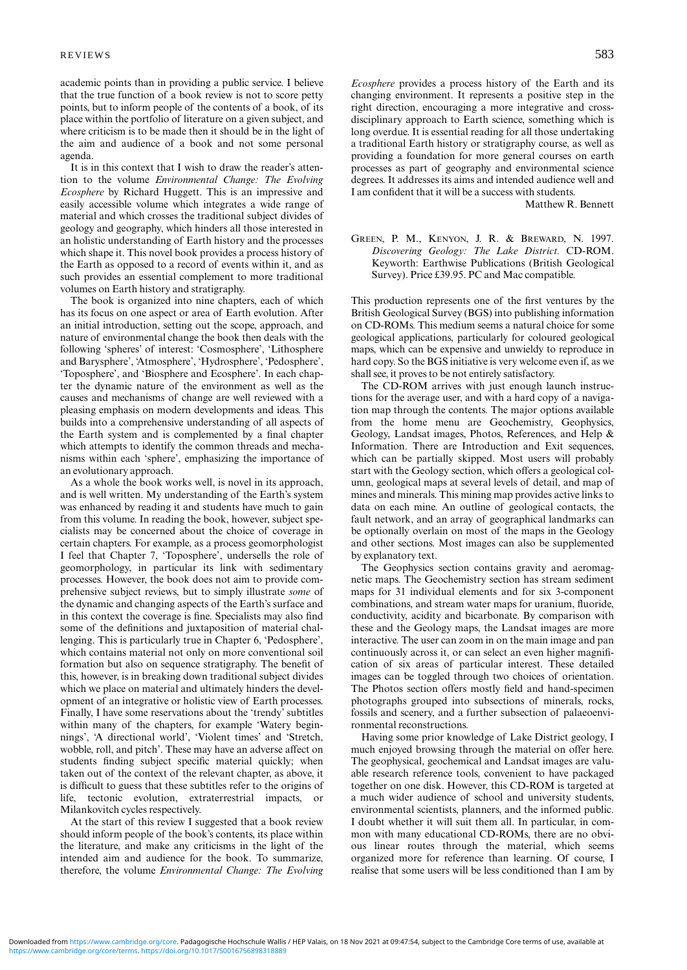academic points than in providing a public service. I believe that the true function of a book review is not to score petty points, but to inform people of the contents of a book, of its place within the portfolio of literature on a given subject, and where criticism is to be made then it should be in the light of the aim and audience of a book and not some personal agenda.

It is in this context that I wish to draw the reader's attention to the volume *Environmental Change: The Evolving Ecosphere* by Richard Huggett. This is an impressive and easily accessible volume which integrates a wide range of material and which crosses the traditional subject divides of geology and geography, which hinders all those interested in an holistic understanding of Earth history and the processes which shape it. This novel book provides a process history of the Earth as opposed to a record of events within it, and as such provides an essential complement to more traditional volumes on Earth history and stratigraphy.

The book is organized into nine chapters, each of which has its focus on one aspect or area of Earth evolution. After an initial introduction, setting out the scope, approach, and nature of environmental change the book then deals with the following 'spheres' of interest: 'Cosmosphere', 'Lithosphere and Barysphere', 'Atmosphere', 'Hydrosphere', 'Pedosphere', 'Toposphere', and 'Biosphere and Ecosphere'. In each chapter the dynamic nature of the environment as well as the causes and mechanisms of change are well reviewed with a pleasing emphasis on modern developments and ideas. This builds into a comprehensive understanding of all aspects of the Earth system and is complemented by a final chapter which attempts to identify the common threads and mechanisms within each 'sphere', emphasizing the importance of an evolutionary approach.

As a whole the book works well, is novel in its approach, and is well written. My understanding of the Earth's system was enhanced by reading it and students have much to gain from this volume. In reading the book, however, subject specialists may be concerned about the choice of coverage in certain chapters. For example, as a process geomorphologist I feel that Chapter 7, 'Toposphere', undersells the role of geomorphology, in particular its link with sedimentary processes. However, the book does not aim to provide comprehensive subject reviews, but to simply illustrate *some* of the dynamic and changing aspects of the Earth's surface and in this context the coverage is fine. Specialists may also find some of the definitions and juxtaposition of material challenging. This is particularly true in Chapter 6, 'Pedosphere', which contains material not only on more conventional soil formation but also on sequence stratigraphy. The benefit of this, however, is in breaking down traditional subject divides which we place on material and ultimately hinders the development of an integrative or holistic view of Earth processes. Finally, I have some reservations about the 'trendy' subtitles within many of the chapters, for example 'Watery beginnings', 'A directional world', 'Violent times' and 'Stretch, wobble, roll, and pitch'. These may have an adverse affect on students finding subject specific material quickly; when taken out of the context of the relevant chapter, as above, it is difficult to guess that these subtitles refer to the origins of life, tectonic evolution, extraterrestrial impacts, or Milankovitch cycles respectively.

At the start of this review I suggested that a book review should inform people of the book's contents, its place within the literature, and make any criticisms in the light of the intended aim and audience for the book. To summarize, therefore, the volume *Environmental Change: The Evolving* *Ecosphere* provides a process history of the Earth and its changing environment. It represents a positive step in the right direction, encouraging a more integrative and crossdisciplinary approach to Earth science, something which is long overdue. It is essential reading for all those undertaking a traditional Earth history or stratigraphy course, as well as providing a foundation for more general courses on earth processes as part of geography and environmental science degrees. It addresses its aims and intended audience well and I am confident that it will be a success with students.

Matthew R. Bennett

GREEN, P. M., KENYON, J. R. & BREWARD, N. 1997. *Discovering Geology: The Lake District.* CD-ROM. Keyworth: Earthwise Publications (British Geological Survey). Price £39.95. PC and Mac compatible.

This production represents one of the first ventures by the British Geological Survey (BGS) into publishing information on CD-ROMs. This medium seems a natural choice for some geological applications, particularly for coloured geological maps, which can be expensive and unwieldy to reproduce in hard copy. So the BGS initiative is very welcome even if, as we shall see, it proves to be not entirely satisfactory.

The CD-ROM arrives with just enough launch instructions for the average user, and with a hard copy of a navigation map through the contents. The major options available from the home menu are Geochemistry, Geophysics, Geology, Landsat images, Photos, References, and Help & Information. There are Introduction and Exit sequences, which can be partially skipped. Most users will probably start with the Geology section, which offers a geological column, geological maps at several levels of detail, and map of mines and minerals. This mining map provides active links to data on each mine. An outline of geological contacts, the fault network, and an array of geographical landmarks can be optionally overlain on most of the maps in the Geology and other sections. Most images can also be supplemented by explanatory text.

The Geophysics section contains gravity and aeromagnetic maps. The Geochemistry section has stream sediment maps for 31 individual elements and for six 3-component combinations, and stream water maps for uranium, fluoride, conductivity, acidity and bicarbonate. By comparison with these and the Geology maps, the Landsat images are more interactive. The user can zoom in on the main image and pan continuously across it, or can select an even higher magnification of six areas of particular interest. These detailed images can be toggled through two choices of orientation. The Photos section offers mostly field and hand-specimen photographs grouped into subsections of minerals, rocks, fossils and scenery, and a further subsection of palaeoenvironmental reconstructions.

Having some prior knowledge of Lake District geology, I much enjoyed browsing through the material on offer here. The geophysical, geochemical and Landsat images are valuable research reference tools, convenient to have packaged together on one disk. However, this CD-ROM is targeted at a much wider audience of school and university students, environmental scientists, planners, and the informed public. I doubt whether it will suit them all. In particular, in common with many educational CD-ROMs, there are no obvious linear routes through the material, which seems organized more for reference than learning. Of course, I realise that some users will be less conditioned than I am by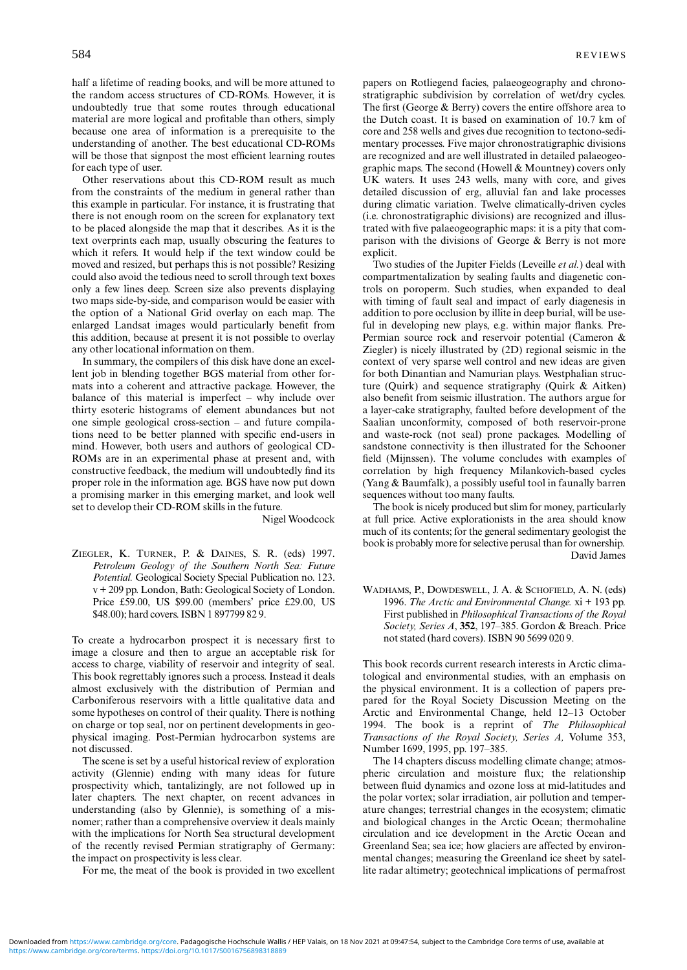half a lifetime of reading books, and will be more attuned to the random access structures of CD-ROMs. However, it is undoubtedly true that some routes through educational material are more logical and profitable than others, simply because one area of information is a prerequisite to the understanding of another. The best educational CD-ROMs will be those that signpost the most efficient learning routes for each type of user.

Other reservations about this CD-ROM result as much from the constraints of the medium in general rather than this example in particular. For instance, it is frustrating that there is not enough room on the screen for explanatory text to be placed alongside the map that it describes. As it is the text overprints each map, usually obscuring the features to which it refers. It would help if the text window could be moved and resized, but perhaps this is not possible? Resizing could also avoid the tedious need to scroll through text boxes only a few lines deep. Screen size also prevents displaying two maps side-by-side, and comparison would be easier with the option of a National Grid overlay on each map. The enlarged Landsat images would particularly benefit from this addition, because at present it is not possible to overlay any other locational information on them.

In summary, the compilers of this disk have done an excellent job in blending together BGS material from other formats into a coherent and attractive package. However, the balance of this material is imperfect – why include over thirty esoteric histograms of element abundances but not one simple geological cross-section – and future compilations need to be better planned with specific end-users in mind. However, both users and authors of geological CD-ROMs are in an experimental phase at present and, with constructive feedback, the medium will undoubtedly find its proper role in the information age. BGS have now put down a promising marker in this emerging market, and look well set to develop their CD-ROM skills in the future.

Nigel Woodcock

ZIEGLER, K. TURNER, P. & DAINES, S. R. (eds) 1997. *Petroleum Geology of the Southern North Sea: Future Potential.* Geological Society Special Publication no. 123. v + 209 pp. London, Bath: Geological Society of London. Price £59.00, US \$99.00 (members' price £29.00, US \$48.00); hard covers. ISBN 1 897799 82 9.

To create a hydrocarbon prospect it is necessary first to image a closure and then to argue an acceptable risk for access to charge, viability of reservoir and integrity of seal. This book regrettably ignores such a process. Instead it deals almost exclusively with the distribution of Permian and Carboniferous reservoirs with a little qualitative data and some hypotheses on control of their quality. There is nothing on charge or top seal, nor on pertinent developments in geophysical imaging. Post-Permian hydrocarbon systems are not discussed.

The scene is set by a useful historical review of exploration activity (Glennie) ending with many ideas for future prospectivity which, tantalizingly, are not followed up in later chapters. The next chapter, on recent advances in understanding (also by Glennie), is something of a misnomer; rather than a comprehensive overview it deals mainly with the implications for North Sea structural development of the recently revised Permian stratigraphy of Germany: the impact on prospectivity is less clear.

For me, the meat of the book is provided in two excellent

papers on Rotliegend facies, palaeogeography and chronostratigraphic subdivision by correlation of wet/dry cycles. The first (George & Berry) covers the entire offshore area to the Dutch coast. It is based on examination of 10.7 km of core and 258 wells and gives due recognition to tectono-sedimentary processes. Five major chronostratigraphic divisions are recognized and are well illustrated in detailed palaeogeographic maps. The second (Howell & Mountney) covers only UK waters. It uses 243 wells, many with core, and gives detailed discussion of erg, alluvial fan and lake processes during climatic variation. Twelve climatically-driven cycles (i.e. chronostratigraphic divisions) are recognized and illustrated with five palaeogeographic maps: it is a pity that comparison with the divisions of George & Berry is not more explicit.

Two studies of the Jupiter Fields (Leveille *et al.*) deal with compartmentalization by sealing faults and diagenetic controls on poroperm. Such studies, when expanded to deal with timing of fault seal and impact of early diagenesis in addition to pore occlusion by illite in deep burial, will be useful in developing new plays, e.g. within major flanks. Pre-Permian source rock and reservoir potential (Cameron & Ziegler) is nicely illustrated by (2D) regional seismic in the context of very sparse well control and new ideas are given for both Dinantian and Namurian plays. Westphalian structure (Quirk) and sequence stratigraphy (Quirk & Aitken) also benefit from seismic illustration. The authors argue for a layer-cake stratigraphy, faulted before development of the Saalian unconformity, composed of both reservoir-prone and waste-rock (not seal) prone packages. Modelling of sandstone connectivity is then illustrated for the Schooner field (Mijnssen). The volume concludes with examples of correlation by high frequency Milankovich-based cycles (Yang & Baumfalk), a possibly useful tool in faunally barren sequences without too many faults.

The book is nicely produced but slim for money, particularly at full price. Active explorationists in the area should know much of its contents; for the general sedimentary geologist the book is probably more for selective perusal than for ownership. David James

WADHAMS, P., DOWDESWELL, J. A. & SCHOFIELD, A. N. (eds) 1996. *The Arctic and Environmental Change.* xi + 193 pp. First published in *Philosophical Transactions of the Royal Society, Series A*, **352**, 197–385. Gordon & Breach. Price not stated (hard covers). ISBN 90 5699 020 9.

This book records current research interests in Arctic climatological and environmental studies, with an emphasis on the physical environment. It is a collection of papers prepared for the Royal Society Discussion Meeting on the Arctic and Environmental Change, held 12–13 October 1994. The book is a reprint of *The Philosophical Transactions of the Royal Society, Series A,* Volume 353, Number 1699, 1995, pp. 197–385.

The 14 chapters discuss modelling climate change; atmospheric circulation and moisture flux; the relationship between fluid dynamics and ozone loss at mid-latitudes and the polar vortex; solar irradiation, air pollution and temperature changes; terrestrial changes in the ecosystem; climatic and biological changes in the Arctic Ocean; thermohaline circulation and ice development in the Arctic Ocean and Greenland Sea; sea ice; how glaciers are affected by environmental changes; measuring the Greenland ice sheet by satellite radar altimetry; geotechnical implications of permafrost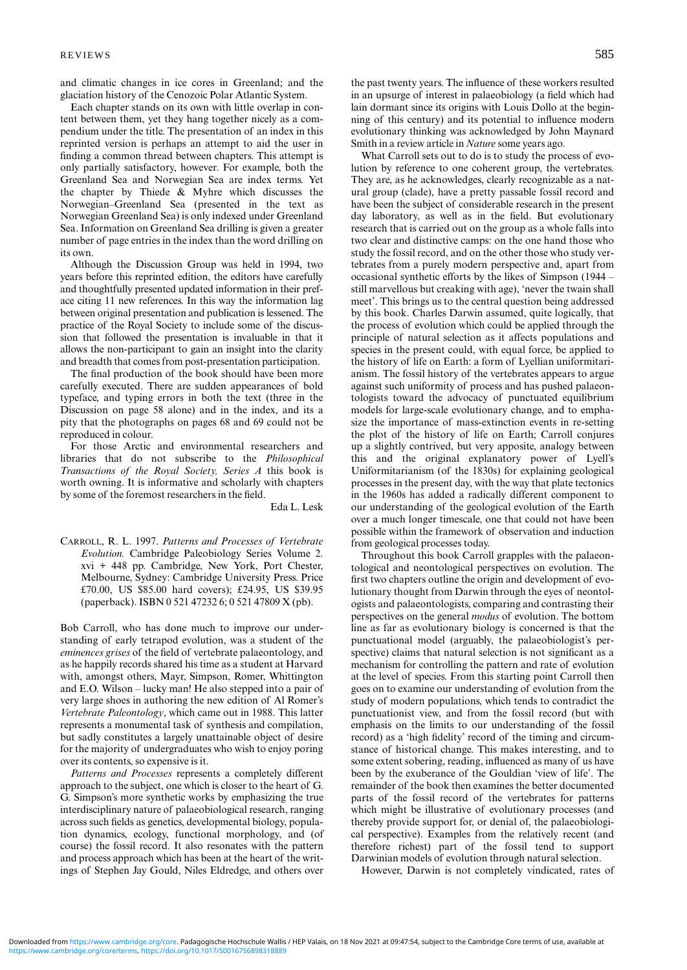and climatic changes in ice cores in Greenland; and the glaciation history of the Cenozoic Polar Atlantic System.

Each chapter stands on its own with little overlap in content between them, yet they hang together nicely as a compendium under the title. The presentation of an index in this reprinted version is perhaps an attempt to aid the user in finding a common thread between chapters. This attempt is only partially satisfactory, however. For example, both the Greenland Sea and Norwegian Sea are index terms. Yet the chapter by Thiede  $\&$  Myhre which discusses the Norwegian–Greenland Sea (presented in the text as Norwegian Greenland Sea) is only indexed under Greenland Sea. Information on Greenland Sea drilling is given a greater number of page entries in the index than the word drilling on its own.

Although the Discussion Group was held in 1994, two years before this reprinted edition, the editors have carefully and thoughtfully presented updated information in their preface citing 11 new references. In this way the information lag between original presentation and publication is lessened. The practice of the Royal Society to include some of the discussion that followed the presentation is invaluable in that it allows the non-participant to gain an insight into the clarity and breadth that comes from post-presentation participation.

The final production of the book should have been more carefully executed. There are sudden appearances of bold typeface, and typing errors in both the text (three in the Discussion on page 58 alone) and in the index, and its a pity that the photographs on pages 68 and 69 could not be reproduced in colour.

For those Arctic and environmental researchers and libraries that do not subscribe to the *Philosophical Transactions of the Royal Society, Series A* this book is worth owning. It is informative and scholarly with chapters by some of the foremost researchers in the field.

Eda L. Lesk

CARROLL, R. L. 1997. *Patterns and Processes of Vertebrate Evolution.* Cambridge Paleobiology Series Volume 2. xvi + 448 pp. Cambridge, New York, Port Chester, Melbourne, Sydney: Cambridge University Press. Price £70.00, US \$85.00 hard covers); £24.95, US \$39.95 (paperback). ISBN 0 521 47232 6; 0 521 47809 X (pb).

Bob Carroll, who has done much to improve our understanding of early tetrapod evolution, was a student of the *eminences grises* of the field of vertebrate palaeontology, and as he happily records shared his time as a student at Harvard with, amongst others, Mayr, Simpson, Romer, Whittington and E.O. Wilson – lucky man! He also stepped into a pair of very large shoes in authoring the new edition of Al Romer's *Vertebrate Paleontology*, which came out in 1988. This latter represents a monumental task of synthesis and compilation, but sadly constitutes a largely unattainable object of desire for the majority of undergraduates who wish to enjoy poring over its contents, so expensive is it.

*Patterns and Processes* represents a completely different approach to the subject, one which is closer to the heart of G. G. Simpson's more synthetic works by emphasizing the true interdisciplinary nature of palaeobiological research, ranging across such fields as genetics, developmental biology, population dynamics, ecology, functional morphology, and (of course) the fossil record. It also resonates with the pattern and process approach which has been at the heart of the writings of Stephen Jay Gould, Niles Eldredge, and others over the past twenty years. The influence of these workers resulted in an upsurge of interest in palaeobiology (a field which had lain dormant since its origins with Louis Dollo at the beginning of this century) and its potential to influence modern evolutionary thinking was acknowledged by John Maynard Smith in a review article in *Nature* some years ago.

What Carroll sets out to do is to study the process of evolution by reference to one coherent group, the vertebrates. They are, as he acknowledges, clearly recognizable as a natural group (clade), have a pretty passable fossil record and have been the subject of considerable research in the present day laboratory, as well as in the field. But evolutionary research that is carried out on the group as a whole falls into two clear and distinctive camps: on the one hand those who study the fossil record, and on the other those who study vertebrates from a purely modern perspective and, apart from occasional synthetic efforts by the likes of Simpson (1944 – still marvellous but creaking with age), 'never the twain shall meet'. This brings us to the central question being addressed by this book. Charles Darwin assumed, quite logically, that the process of evolution which could be applied through the principle of natural selection as it affects populations and species in the present could, with equal force, be applied to the history of life on Earth: a form of Lyellian uniformitarianism. The fossil history of the vertebrates appears to argue against such uniformity of process and has pushed palaeontologists toward the advocacy of punctuated equilibrium models for large-scale evolutionary change, and to emphasize the importance of mass-extinction events in re-setting the plot of the history of life on Earth; Carroll conjures up a slightly contrived, but very apposite, analogy between this and the original explanatory power of Lyell's Uniformitarianism (of the 1830s) for explaining geological processes in the present day, with the way that plate tectonics in the 1960s has added a radically different component to our understanding of the geological evolution of the Earth over a much longer timescale, one that could not have been possible within the framework of observation and induction from geological processes today.

Throughout this book Carroll grapples with the palaeontological and neontological perspectives on evolution. The first two chapters outline the origin and development of evolutionary thought from Darwin through the eyes of neontologists and palaeontologists, comparing and contrasting their perspectives on the general *modus* of evolution. The bottom line as far as evolutionary biology is concerned is that the punctuational model (arguably, the palaeobiologist's perspective) claims that natural selection is not significant as a mechanism for controlling the pattern and rate of evolution at the level of species. From this starting point Carroll then goes on to examine our understanding of evolution from the study of modern populations, which tends to contradict the punctuationist view, and from the fossil record (but with emphasis on the limits to our understanding of the fossil record) as a 'high fidelity' record of the timing and circumstance of historical change. This makes interesting, and to some extent sobering, reading, influenced as many of us have been by the exuberance of the Gouldian 'view of life'. The remainder of the book then examines the better documented parts of the fossil record of the vertebrates for patterns which might be illustrative of evolutionary processes (and thereby provide support for, or denial of, the palaeobiological perspective). Examples from the relatively recent (and therefore richest) part of the fossil tend to support Darwinian models of evolution through natural selection.

However, Darwin is not completely vindicated, rates of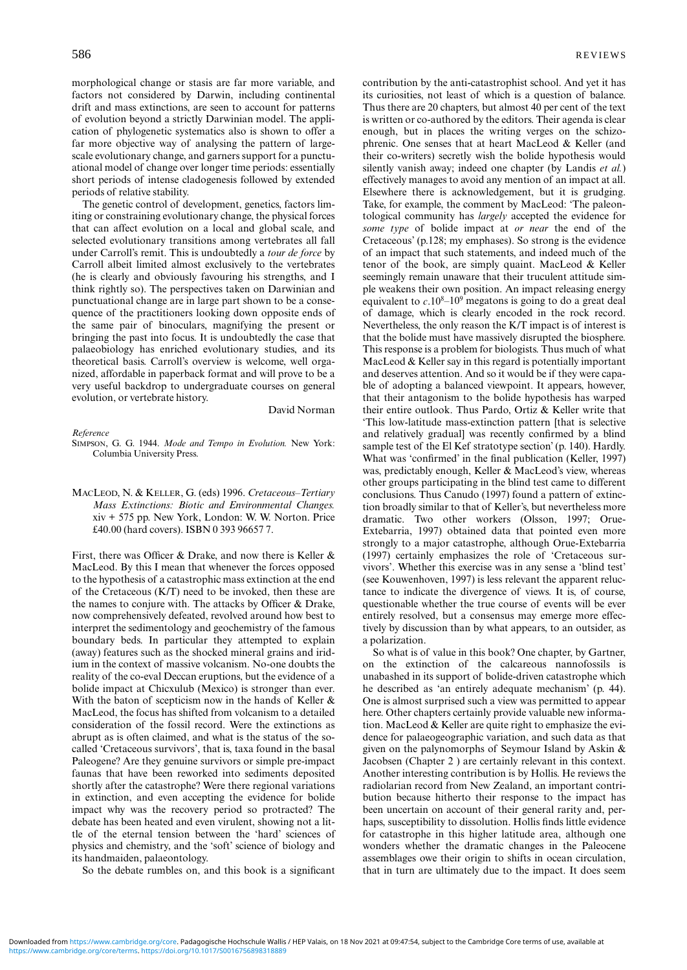morphological change or stasis are far more variable, and factors not considered by Darwin, including continental drift and mass extinctions, are seen to account for patterns of evolution beyond a strictly Darwinian model. The application of phylogenetic systematics also is shown to offer a far more objective way of analysing the pattern of largescale evolutionary change, and garners support for a punctuational model of change over longer time periods: essentially short periods of intense cladogenesis followed by extended periods of relative stability.

The genetic control of development, genetics, factors limiting or constraining evolutionary change, the physical forces that can affect evolution on a local and global scale, and selected evolutionary transitions among vertebrates all fall under Carroll's remit. This is undoubtedly a *tour de force* by Carroll albeit limited almost exclusively to the vertebrates (he is clearly and obviously favouring his strengths, and I think rightly so). The perspectives taken on Darwinian and punctuational change are in large part shown to be a consequence of the practitioners looking down opposite ends of the same pair of binoculars, magnifying the present or bringing the past into focus. It is undoubtedly the case that palaeobiology has enriched evolutionary studies, and its theoretical basis. Carroll's overview is welcome, well organized, affordable in paperback format and will prove to be a very useful backdrop to undergraduate courses on general evolution, or vertebrate history.

#### David Norman

#### *Reference*

SIMPSON, G. G. 1944. *Mode and Tempo in Evolution.* New York: Columbia University Press.

MACLEOD, N. & KELLER, G. (eds) 1996. *Cretaceous–Tertiary Mass Extinctions: Biotic and Environmental Changes.* xiv + 575 pp. New York, London: W. W. Norton. Price £40.00 (hard covers). ISBN 0 393 96657 7.

First, there was Officer & Drake, and now there is Keller & MacLeod. By this I mean that whenever the forces opposed to the hypothesis of a catastrophic mass extinction at the end of the Cretaceous (K/T) need to be invoked, then these are the names to conjure with. The attacks by Officer & Drake, now comprehensively defeated, revolved around how best to interpret the sedimentology and geochemistry of the famous boundary beds. In particular they attempted to explain (away) features such as the shocked mineral grains and iridium in the context of massive volcanism. No-one doubts the reality of the co-eval Deccan eruptions, but the evidence of a bolide impact at Chicxulub (Mexico) is stronger than ever. With the baton of scepticism now in the hands of Keller & MacLeod, the focus has shifted from volcanism to a detailed consideration of the fossil record. Were the extinctions as abrupt as is often claimed, and what is the status of the socalled 'Cretaceous survivors', that is, taxa found in the basal Paleogene? Are they genuine survivors or simple pre-impact faunas that have been reworked into sediments deposited shortly after the catastrophe? Were there regional variations in extinction, and even accepting the evidence for bolide impact why was the recovery period so protracted? The debate has been heated and even virulent, showing not a little of the eternal tension between the 'hard' sciences of physics and chemistry, and the 'soft' science of biology and its handmaiden, palaeontology.

So the debate rumbles on, and this book is a significant

contribution by the anti-catastrophist school. And yet it has its curiosities, not least of which is a question of balance. Thus there are 20 chapters, but almost 40 per cent of the text is written or co-authored by the editors. Their agenda is clear enough, but in places the writing verges on the schizophrenic. One senses that at heart MacLeod & Keller (and their co-writers) secretly wish the bolide hypothesis would silently vanish away; indeed one chapter (by Landis *et al.*) effectively manages to avoid any mention of an impact at all. Elsewhere there is acknowledgement, but it is grudging. Take, for example, the comment by MacLeod: 'The paleontological community has *largely* accepted the evidence for *some type* of bolide impact at *or near* the end of the Cretaceous' (p.128; my emphases). So strong is the evidence of an impact that such statements, and indeed much of the tenor of the book, are simply quaint. MacLeod & Keller seemingly remain unaware that their truculent attitude simple weakens their own position. An impact releasing energy equivalent to  $c.10<sup>8</sup>-10<sup>9</sup>$  megatons is going to do a great deal of damage, which is clearly encoded in the rock record. Nevertheless, the only reason the K/T impact is of interest is that the bolide must have massively disrupted the biosphere. This response is a problem for biologists. Thus much of what MacLeod & Keller say in this regard is potentially important and deserves attention. And so it would be if they were capable of adopting a balanced viewpoint. It appears, however, that their antagonism to the bolide hypothesis has warped their entire outlook. Thus Pardo, Ortiz & Keller write that 'This low-latitude mass-extinction pattern [that is selective and relatively gradual] was recently confirmed by a blind sample test of the El Kef stratotype section' (p. 140). Hardly. What was 'confirmed' in the final publication (Keller, 1997) was, predictably enough, Keller & MacLeod's view, whereas other groups participating in the blind test came to different conclusions. Thus Canudo (1997) found a pattern of extinction broadly similar to that of Keller's, but nevertheless more dramatic. Two other workers (Olsson, 1997; Orue-Extebarria, 1997) obtained data that pointed even more strongly to a major catastrophe, although Orue-Extebarria (1997) certainly emphasizes the role of 'Cretaceous survivors'. Whether this exercise was in any sense a 'blind test' (see Kouwenhoven, 1997) is less relevant the apparent reluctance to indicate the divergence of views. It is, of course, questionable whether the true course of events will be ever entirely resolved, but a consensus may emerge more effectively by discussion than by what appears, to an outsider, as a polarization.

So what is of value in this book? One chapter, by Gartner, on the extinction of the calcareous nannofossils is unabashed in its support of bolide-driven catastrophe which he described as 'an entirely adequate mechanism' (p. 44). One is almost surprised such a view was permitted to appear here. Other chapters certainly provide valuable new information. MacLeod & Keller are quite right to emphasize the evidence for palaeogeographic variation, and such data as that given on the palynomorphs of Seymour Island by Askin & Jacobsen (Chapter 2 ) are certainly relevant in this context. Another interesting contribution is by Hollis. He reviews the radiolarian record from New Zealand, an important contribution because hitherto their response to the impact has been uncertain on account of their general rarity and, perhaps, susceptibility to dissolution. Hollis finds little evidence for catastrophe in this higher latitude area, although one wonders whether the dramatic changes in the Paleocene assemblages owe their origin to shifts in ocean circulation, that in turn are ultimately due to the impact. It does seem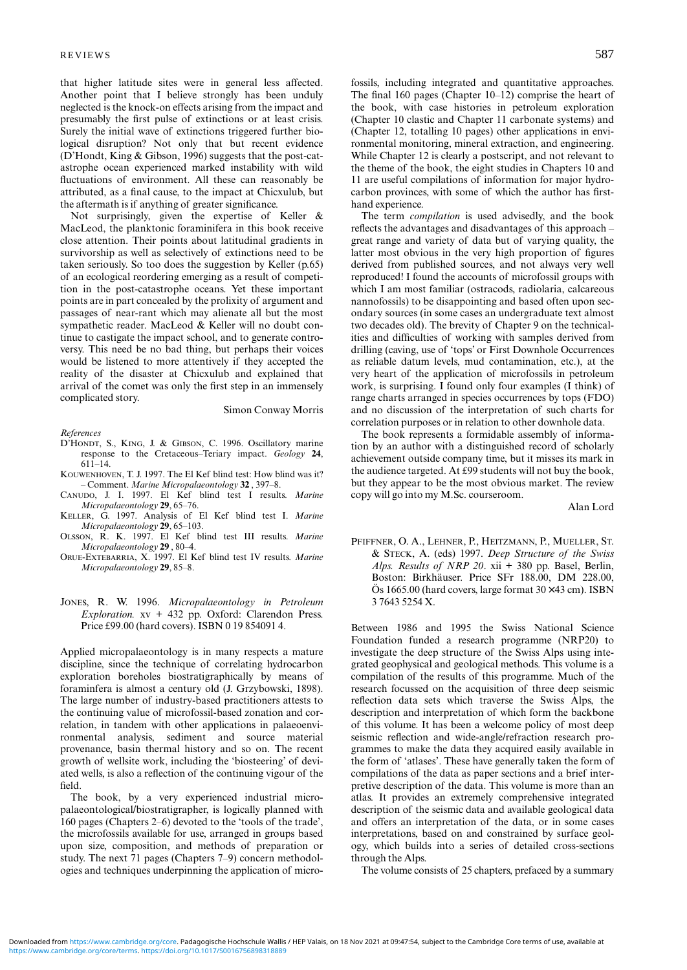that higher latitude sites were in general less affected. Another point that I believe strongly has been unduly neglected is the knock-on effects arising from the impact and presumably the first pulse of extinctions or at least crisis. Surely the initial wave of extinctions triggered further biological disruption? Not only that but recent evidence (D'Hondt, King & Gibson, 1996) suggests that the post-catastrophe ocean experienced marked instability with wild fluctuations of environment. All these can reasonably be attributed, as a final cause, to the impact at Chicxulub, but the aftermath is if anything of greater significance.

Not surprisingly, given the expertise of Keller & MacLeod, the planktonic foraminifera in this book receive close attention. Their points about latitudinal gradients in survivorship as well as selectively of extinctions need to be taken seriously. So too does the suggestion by Keller (p.65) of an ecological reordering emerging as a result of competition in the post-catastrophe oceans. Yet these important points are in part concealed by the prolixity of argument and passages of near-rant which may alienate all but the most sympathetic reader. MacLeod & Keller will no doubt continue to castigate the impact school, and to generate controversy. This need be no bad thing, but perhaps their voices would be listened to more attentively if they accepted the reality of the disaster at Chicxulub and explained that arrival of the comet was only the first step in an immensely complicated story.

Simon Conway Morris

*References*

- D'HONDT, S., KING, J. & GIBSON, C. 1996. Oscillatory marine response to the Cretaceous–Teriary impact. *Geology* **24**, 611–14.
- KOUWENHOVEN, T. J. 1997. The El Kef blind test: How blind was it? – Comment. *Marine Micropalaeontology* **32** , 397–8.
- CANUDO, J. I. 1997. El Kef blind test I results. *Marine Micropalaeontology* **29**, 65–76.
- KELLER, G. 1997. Analysis of El Kef blind test I. *Marine Micropalaeontology* **29**, 65–103.
- OLSSON, R. K. 1997. El Kef blind test III results. *Marine Micropalaeontology* **29** , 80–4.
- ORUE-EXTEBARRIA, X. 1997. El Kef blind test IV results. *Marine Micropalaeontology* **29**, 85–8.
- JONES, R. W. 1996. *Micropalaeontology in Petroleum Exploration.* xv + 432 pp. Oxford: Clarendon Press. Price £99.00 (hard covers). ISBN 0 19 854091 4.

Applied micropalaeontology is in many respects a mature discipline, since the technique of correlating hydrocarbon exploration boreholes biostratigraphically by means of foraminfera is almost a century old (J. Grzybowski, 1898). The large number of industry-based practitioners attests to the continuing value of microfossil-based zonation and correlation, in tandem with other applications in palaeoenvironmental analysis, sediment and source material provenance, basin thermal history and so on. The recent growth of wellsite work, including the 'biosteering' of deviated wells, is also a reflection of the continuing vigour of the field.

The book, by a very experienced industrial micropalaeontological/biostratigrapher, is logically planned with 160 pages (Chapters 2–6) devoted to the 'tools of the trade', the microfossils available for use, arranged in groups based upon size, composition, and methods of preparation or study. The next 71 pages (Chapters 7–9) concern methodologies and techniques underpinning the application of microfossils, including integrated and quantitative approaches. The final 160 pages (Chapter 10–12) comprise the heart of the book, with case histories in petroleum exploration (Chapter 10 clastic and Chapter 11 carbonate systems) and (Chapter 12, totalling 10 pages) other applications in environmental monitoring, mineral extraction, and engineering. While Chapter 12 is clearly a postscript, and not relevant to the theme of the book, the eight studies in Chapters 10 and 11 are useful compilations of information for major hydrocarbon provinces, with some of which the author has firsthand experience.

The term *compilation* is used advisedly, and the book reflects the advantages and disadvantages of this approach – great range and variety of data but of varying quality, the latter most obvious in the very high proportion of figures derived from published sources, and not always very well reproduced! I found the accounts of microfossil groups with which I am most familiar (ostracods, radiolaria, calcareous nannofossils) to be disappointing and based often upon secondary sources (in some cases an undergraduate text almost two decades old). The brevity of Chapter 9 on the technicalities and difficulties of working with samples derived from drilling (caving, use of 'tops' or First Downhole Occurrences as reliable datum levels, mud contamination, etc.), at the very heart of the application of microfossils in petroleum work, is surprising. I found only four examples (I think) of range charts arranged in species occurrences by tops (FDO) and no discussion of the interpretation of such charts for correlation purposes or in relation to other downhole data.

The book represents a formidable assembly of information by an author with a distinguished record of scholarly achievement outside company time, but it misses its mark in the audience targeted. At £99 students will not buy the book, but they appear to be the most obvious market. The review copy will go into my M.Sc. courseroom.

Alan Lord

PFIFFNER, O. A., LEHNER, P., HEITZMANN, P., MUELLER, ST. & STECK, A. (eds) 1997. *Deep Structure of the Swiss Alps. Results of NRP 20*. xii + 380 pp. Basel, Berlin, Boston: Birkhäuser. Price SFr 188.00, DM 228.00, Ös 1665.00 (hard covers, large format 30 × 43 cm). ISBN 3 7643 5254 X.

Between 1986 and 1995 the Swiss National Science Foundation funded a research programme (NRP20) to investigate the deep structure of the Swiss Alps using integrated geophysical and geological methods. This volume is a compilation of the results of this programme. Much of the research focussed on the acquisition of three deep seismic reflection data sets which traverse the Swiss Alps, the description and interpretation of which form the backbone of this volume. It has been a welcome policy of most deep seismic reflection and wide-angle/refraction research programmes to make the data they acquired easily available in the form of 'atlases'. These have generally taken the form of compilations of the data as paper sections and a brief interpretive description of the data. This volume is more than an atlas. It provides an extremely comprehensive integrated description of the seismic data and available geological data and offers an interpretation of the data, or in some cases interpretations, based on and constrained by surface geology, which builds into a series of detailed cross-sections through the Alps.

The volume consists of 25 chapters, prefaced by a summary